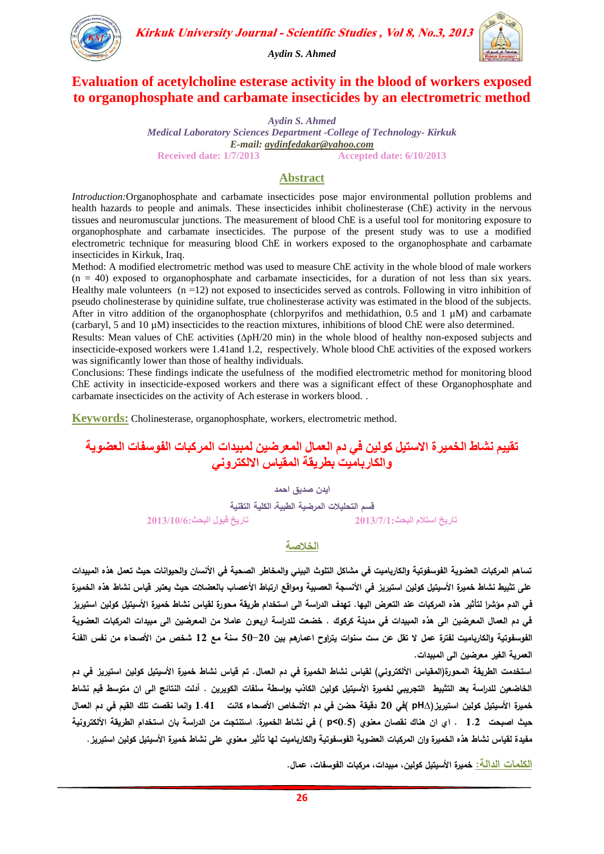

**Kirkuk University Journal - Scientific Studies, Vol 8, No.3, 2013** 

*Aydin S. Ahmed*

# **Evaluation of acetylcholine esterase activity in the blood of workers exposed to organophosphate and carbamate insecticides by an electrometric method**

*Aydin S. Ahmed Medical Laboratory Sciences Department -College of Technology- Kirkuk E-mail: [aydinfedakar@yahoo.com](mailto:aydinfedakar@yahoo.com)* **Received date: 1/7/2013 Accepted date: 6/10/2013**

#### **Abstract**

*Introduction:*Organophosphate and carbamate insecticides pose major environmental pollution problems and health hazards to people and animals. These insecticides inhibit cholinesterase (ChE) activity in the nervous tissues and neuromuscular junctions. The measurement of blood ChE is a useful tool for monitoring exposure to organophosphate and carbamate insecticides. The purpose of the present study was to use a modified electrometric technique for measuring blood ChE in workers exposed to the organophosphate and carbamate insecticides in Kirkuk, Iraq.

Method: A modified electrometric method was used to measure ChE activity in the whole blood of male workers  $(n = 40)$  exposed to organophosphate and carbamate insecticides, for a duration of not less than six years. Healthy male volunteers  $(n = 12)$  not exposed to insecticides served as controls. Following in vitro inhibition of pseudo cholinesterase by quinidine sulfate, true cholinesterase activity was estimated in the blood of the subjects. After in vitro addition of the organophosphate (chlorpyrifos and methidathion, 0.5 and 1  $\mu$ M) and carbamate (carbaryl, 5 and 10 µM) insecticides to the reaction mixtures, inhibitions of blood ChE were also determined.

Results: Mean values of ChE activities  $(\Delta pH/20 \text{ min})$  in the whole blood of healthy non-exposed subjects and insecticide-exposed workers were 1.41and 1.2, respectively. Whole blood ChE activities of the exposed workers was significantly lower than those of healthy individuals.

Conclusions: These findings indicate the usefulness of the modified electrometric method for monitoring blood ChE activity in insecticide-exposed workers and there was a significant effect of these Organophosphate and carbamate insecticides on the activity of Ach esterase in workers blood. .

**Keywords:** Cholinesterase, organophosphate, workers, electrometric method.

# **حقييم نشاط انخميرة االسخيم كونين في دم انعمال انمعرضين نمبيذاث انمركباث انفوسفاث انعضويت وانكارباميج بطريقت انمقياس االنكخروني**

**ايدن صديق احمد**

**قسم التحميالت المرضية الطبيةـ الكمية التقنية حاريخ اسخالم انبحث3112/7/1: حاريخ قبول انبحث3112/11/6:**

#### **الخالصة**

تساهم المركبات العضوية الفوسفوتية والكارباميت ف*ي* مشاكل التلوث البيئ*ي* والمخاطر الصحية ف*ي* الأنسان والحيوانات حيث تع*مل هذه المبيدات* **عمى تثبيط نشاط خميرة األسيتيل كولين استيريز في األنسجة العصبية ومواقع ارتباط األعصاب بالعضالت حيث يعتبر قياس نشاط هذه الخميرة في الدم مؤشرا لتأثير هذه المركبات عند التعرض اليها. تهدف الدراسة الى استخدام طريقة محورة لقياس نشاط خميرة األسيتيل كولين استير يز في دم العمال المعرضين الى هذه المبيدات في مدينة كركوك . خضعت لمدراسة اربعون عامال من المعرضين الى مبيدات المركبات العضوية الفوسفوتية والكارباميت لفترة عمل ال تقل عن ست سنوات يتراوح اعمارهم بين 02-02 سنة مع 20 شخص من األصحاء من نفس الفئة العمرية الغير معرضين الى المبيدات.** 

**استخدمت الطريقة المحورة)المقياس األلكتروني( لقياس نشاط الخميرة في دم العمال. تم قياس نشاط خميرة األسيتيل كولين استيريز في دم الخاضعين لمدراسة بعد التثبيط التجريبي لخميرة األسيتيل كولين الكاذب بواسطة سمفات الكويرين . أدلت النتائج الى ان متوسط قيم نشاط خميرة األسيتيل كولين استيريز)∆pH) في 02 دقيقة حضن في دم األشخاص األصحاء كانت 1.41 وانما نقصت تمك القيم في دم العمال حيث اصبحت 1.2 . اي ان هناك نقصان معنوي )0.5>p ) في نشاط الخميرة. استنتجت من الدراسة بان استخدام الطريقة األلكترونية مفيدة لقياس نشاط هذه الخميرة وان المركبات العضوية الفوسفوتية والكارباميت لها تأثير معنوي عمى نشاط خميرة األسيتيل كولين استيريز.**

**الكممات الدالة: خميرة األسيتيل كولين, مبيدات, مركبات الفوسفات, عمال.**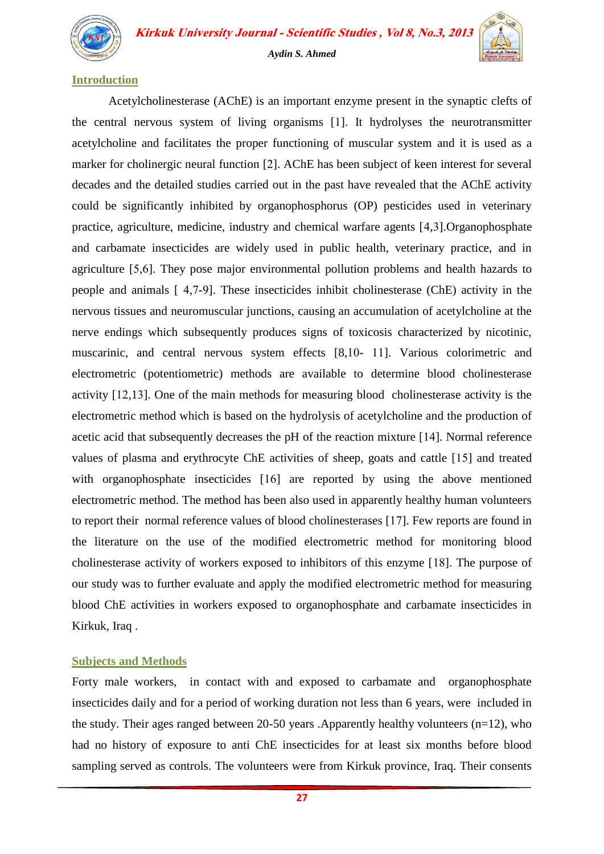

**Kirkuk University Journal - Scientific Studies, Vol 8, No.3, 2013** 

#### *Aydin S. Ahmed*

#### **Introduction**

Acetylcholinesterase (AChE) is an important enzyme present in the synaptic clefts of the central nervous system of living organisms [1]. It hydrolyses the neurotransmitter acetylcholine and facilitates the proper functioning of muscular system and it is used as a marker for cholinergic neural function [2]. AChE has been subject of keen interest for several decades and the detailed studies carried out in the past have revealed that the AChE activity could be significantly inhibited by organophosphorus (OP) pesticides used in veterinary practice, agriculture, medicine, industry and chemical warfare agents [4,3].Organophosphate and carbamate insecticides are widely used in public health, veterinary practice, and in agriculture [5,6]. They pose major environmental pollution problems and health hazards to people and animals  $[4,7-9]$ . These insecticides inhibit cholinesterase (ChE) activity in the nervous tissues and neuromuscular junctions, causing an accumulation of acetylcholine at the nerve endings which subsequently produces signs of toxicosis characterized by nicotinic, muscarinic, and central nervous system effects [8,10- 11]. Various colorimetric and electrometric (potentiometric) methods are available to determine blood cholinesterase activity  $[12,13]$ . One of the main methods for measuring blood cholinesterase activity is the electrometric method which is based on the hydrolysis of acetylcholine and the production of acetic acid that subsequently decreases the pH of the reaction mixture [14]. Normal reference values of plasma and erythrocyte ChE activities of sheep, goats and cattle  $[15]$  and treated with organophosphate insecticides  $[16]$  are reported by using the above mentioned electrometric method. The method has been also used in apparently healthy human volunteers to report their normal reference values of blood cholinesterases [17]. Few reports are found in the literature on the use of the modified electrometric method for monitoring blood cholinesterase activity of workers exposed to inhibitors of this enzyme  $[18]$ . The purpose of our study was to further evaluate and apply the modified electrometric method for measuring blood ChE activities in workers exposed to organophosphate and carbamate insecticides in Kirkuk, Iraq .

#### **Subjects and Methods**

Forty male workers, in contact with and exposed to carbamate and organophosphate insecticides daily and for a period of working duration not less than 6 years, were included in the study. Their ages ranged between 20-50 years .Apparently healthy volunteers (n=12), who had no history of exposure to anti ChE insecticides for at least six months before blood sampling served as controls. The volunteers were from Kirkuk province, Iraq. Their consents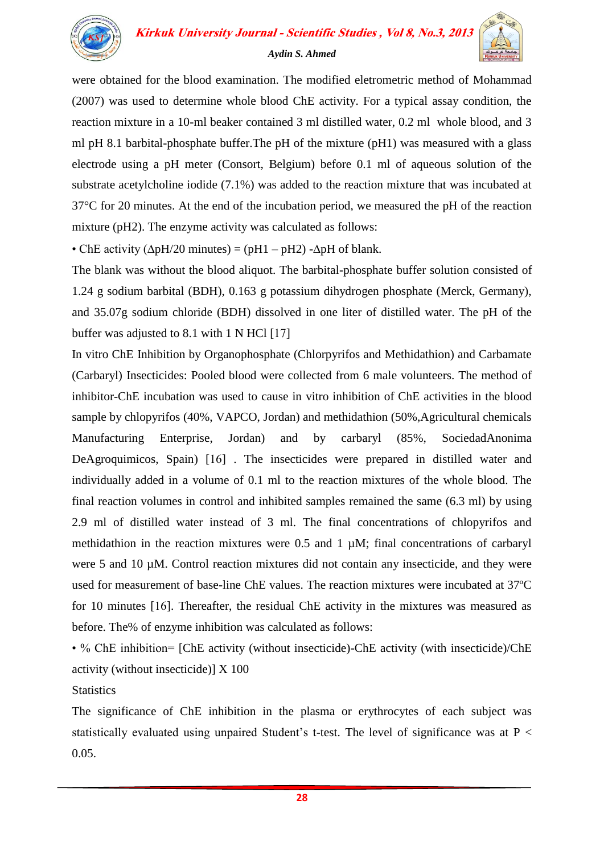

were obtained for the blood examination. The modified eletrometric method of Mohammad (2007) was used to determine whole blood ChE activity. For a typical assay condition, the reaction mixture in a 10-ml beaker contained 3 ml distilled water, 0.2 ml whole blood, and 3 ml pH 8.1 barbital-phosphate buffer.The pH of the mixture (pH1) was measured with a glass electrode using a pH meter (Consort, Belgium) before 0.1 ml of aqueous solution of the substrate acetylcholine iodide (7.1%) was added to the reaction mixture that was incubated at 37°C for 20 minutes. At the end of the incubation period, we measured the pH of the reaction mixture (pH2). The enzyme activity was calculated as follows:

• ChE activity ( $\Delta pH/20$  minutes) = ( $pH1 - pH2$ ) - $\Delta pH$  of blank.

The blank was without the blood aliquot. The barbital-phosphate buffer solution consisted of 1.24 g sodium barbital (BDH), 0.163 g potassium dihydrogen phosphate (Merck, Germany), and 35.07g sodium chloride (BDH) dissolved in one liter of distilled water. The pH of the buffer was adjusted to 8.1 with 1 N HCl  $[17]$ 

In vitro ChE Inhibition by Organophosphate (Chlorpyrifos and Methidathion) and Carbamate (Carbaryl) Insecticides: Pooled blood were collected from 6 male volunteers. The method of inhibitor-ChE incubation was used to cause in vitro inhibition of ChE activities in the blood sample by chlopyrifos (40%, VAPCO, Jordan) and methidathion (50%,Agricultural chemicals Manufacturing Enterprise, Jordan) and by carbaryl (85%, SociedadAnonima DeAgroquimicos, Spain) [16]. The insecticides were prepared in distilled water and individually added in a volume of 0.1 ml to the reaction mixtures of the whole blood. The final reaction volumes in control and inhibited samples remained the same (6.3 ml) by using 2.9 ml of distilled water instead of 3 ml. The final concentrations of chlopyrifos and methidathion in the reaction mixtures were 0.5 and 1 µM; final concentrations of carbaryl were 5 and 10  $\mu$ M. Control reaction mixtures did not contain any insecticide, and they were used for measurement of base-line ChE values. The reaction mixtures were incubated at 37ºC for 10 minutes [16]. Thereafter, the residual ChE activity in the mixtures was measured as before. The% of enzyme inhibition was calculated as follows:

• % ChE inhibition= [ChE activity (without insecticide)-ChE activity (with insecticide)/ChE activity (without insecticide)] X 100

**Statistics** 

The significance of ChE inhibition in the plasma or erythrocytes of each subject was statistically evaluated using unpaired Student's t-test. The level of significance was at P < 0.05.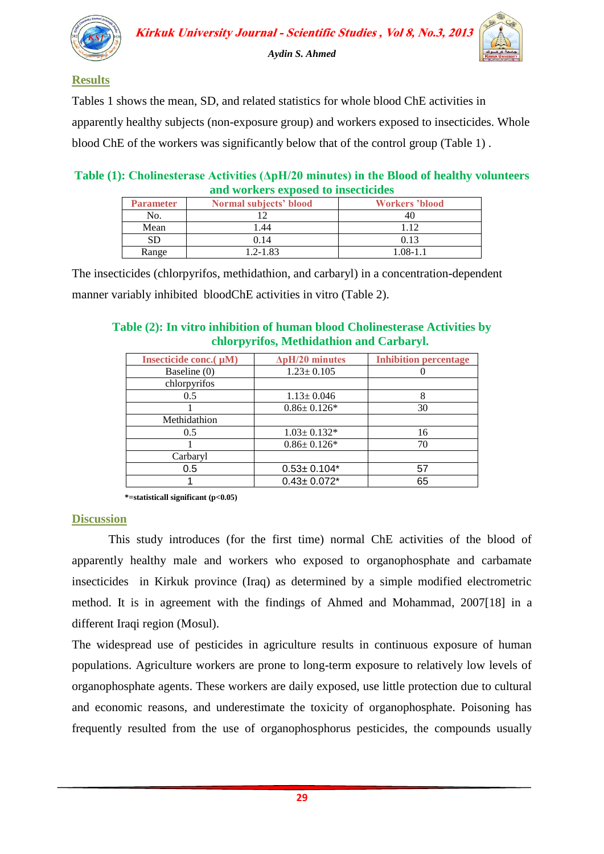

## **Results**

Tables 1 shows the mean, SD, and related statistics for whole blood ChE activities in apparently healthy subjects (non-exposure group) and workers exposed to insecticides. Whole blood ChE of the workers was significantly below that of the control group (Table 1) .

## **Table (1): Cholinesterase Activities (ΔpH/20 minutes) in the Blood of healthy volunteers and workers exposed to insecticides**

| <b>Parameter</b> | Normal subjects' blood | <b>Workers</b> 'blood |
|------------------|------------------------|-----------------------|
| No.              |                        |                       |
| Mean             | 1.44                   | 112                   |
| SD               | 0.14                   | 0.13                  |
| Range            | $1.2 - 1.83$           | $1.08 - 1.1$          |

The insecticides (chlorpyrifos, methidathion, and carbaryl) in a concentration-dependent manner variably inhibited bloodChE activities in vitro (Table 2).

#### **Table (2): In vitro inhibition of human blood Cholinesterase Activities by chlorpyrifos, Methidathion and Carbaryl.**

| Insecticide conc.(µM) | $\Delta$ pH/20 minutes | <b>Inhibition percentage</b> |
|-----------------------|------------------------|------------------------------|
| Baseline (0)          | $1.23 \pm 0.105$       |                              |
| chlorpyrifos          |                        |                              |
| 0.5                   | $1.13 \pm 0.046$       |                              |
|                       | $0.86 \pm 0.126*$      | 30                           |
| Methidathion          |                        |                              |
| 0.5                   | $1.03 \pm 0.132*$      | 16                           |
|                       | $0.86 \pm 0.126*$      | 70                           |
| Carbaryl              |                        |                              |
| 0.5                   | $0.53 \pm 0.104*$      | 57                           |
|                       | $0.43 \pm 0.072$ *     | 65                           |

 **\*=statisticall significant (p<0.05)**

## **Discussion**

This study introduces (for the first time) normal ChE activities of the blood of apparently healthy male and workers who exposed to organophosphate and carbamate insecticides in Kirkuk province (Iraq) as determined by a simple modified electrometric method. It is in agreement with the findings of Ahmed and Mohammad, 2007[18] in a different Iraqi region (Mosul).

The widespread use of pesticides in agriculture results in continuous exposure of human populations. Agriculture workers are prone to long-term exposure to relatively low levels of organophosphate agents. These workers are daily exposed, use little protection due to cultural and economic reasons, and underestimate the toxicity of organophosphate. Poisoning has frequently resulted from the use of organophosphorus pesticides, the compounds usually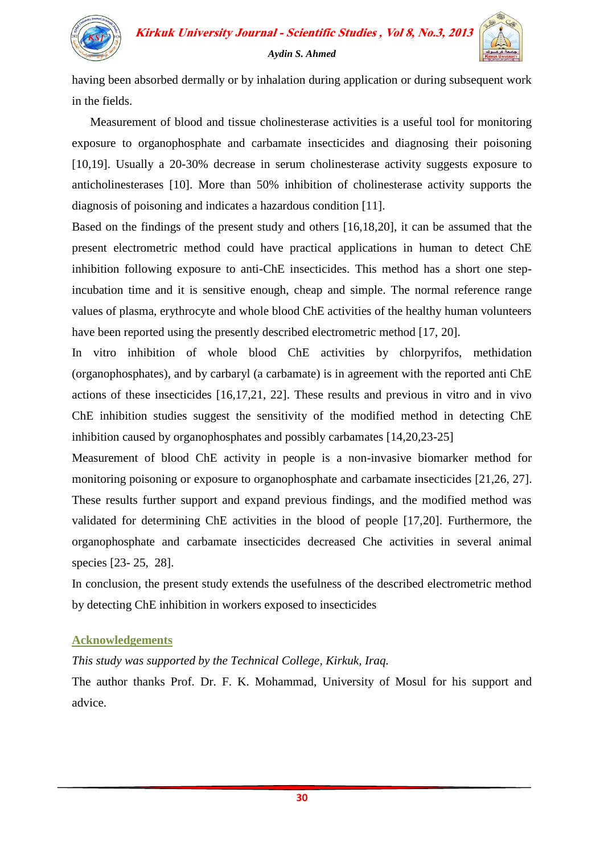

# **Kirkuk University Journal - Scientific Studies, Vol 8, No.3, 2013** *Aydin S. Ahmed*

having been absorbed dermally or by inhalation during application or during subsequent work in the fields.

 Measurement of blood and tissue cholinesterase activities is a useful tool for monitoring exposure to organophosphate and carbamate insecticides and diagnosing their poisoning [10,19]. Usually a 20-30% decrease in serum cholinesterase activity suggests exposure to anticholinesterases [10]. More than 50% inhibition of cholinesterase activity supports the diagnosis of poisoning and indicates a hazardous condition [11].

Based on the findings of the present study and others [16,18,20], it can be assumed that the present electrometric method could have practical applications in human to detect ChE inhibition following exposure to anti-ChE insecticides. This method has a short one stepincubation time and it is sensitive enough, cheap and simple. The normal reference range values of plasma, erythrocyte and whole blood ChE activities of the healthy human volunteers have been reported using the presently described electrometric method [17, 20].

In vitro inhibition of whole blood ChE activities by chlorpyrifos, methidation (organophosphates), and by carbaryl (a carbamate) is in agreement with the reported anti ChE actions of these insecticides [16,17,21, 22]. These results and previous in vitro and in vivo ChE inhibition studies suggest the sensitivity of the modified method in detecting ChE inhibition caused by organophosphates and possibly carbamates [14,20,23-25]

Measurement of blood ChE activity in people is a non-invasive biomarker method for monitoring poisoning or exposure to organophosphate and carbamate insecticides [21,26, 27]. These results further support and expand previous findings, and the modified method was validated for determining ChE activities in the blood of people [17,20]. Furthermore, the organophosphate and carbamate insecticides decreased Che activities in several animal species [23- 25, 28].

In conclusion, the present study extends the usefulness of the described electrometric method by detecting ChE inhibition in workers exposed to insecticides

# **Acknowledgements**

# *This study was supported by the Technical College, Kirkuk, Iraq.*

The author thanks Prof. Dr. F. K. Mohammad, University of Mosul for his support and advice.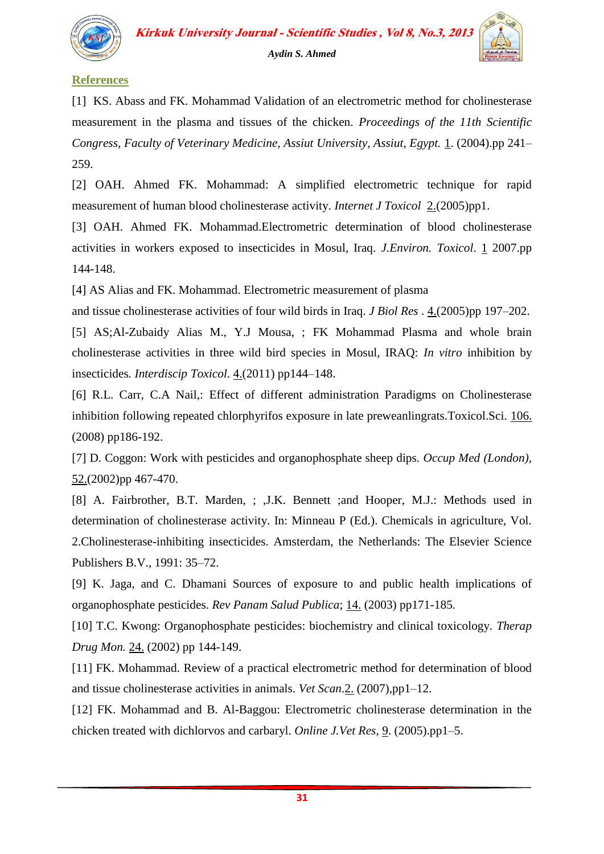

## **References**

[1] KS. Abass and FK. Mohammad Validation of an electrometric method for cholinesterase measurement in the plasma and tissues of the chicken. *Proceedings of the 11th Scientific Congress, Faculty of Veterinary Medicine, Assiut University, Assiut, Egypt.* 1. (2004).pp 241– 259.

[2] OAH. Ahmed FK. Mohammad: A simplified electrometric technique for rapid measurement of human blood cholinesterase activity. *Internet J Toxicol* 2.(2005)pp1.

[3] OAH. Ahmed FK. Mohammad.Electrometric determination of blood cholinesterase activities in workers exposed to insecticides in Mosul, Iraq. *J.Environ. Toxicol*. 1 2007.pp 144-148.

[4] AS Alias and FK. Mohammad. Electrometric measurement of plasma

and tissue cholinesterase activities of four wild birds in Iraq. *J Biol Res* . 4.(2005)pp 197–202.

[5] AS;Al-Zubaidy Alias M., Y.J Mousa, ; FK Mohammad Plasma and whole brain cholinesterase activities in three wild bird species in Mosul, IRAQ: *In vitro* inhibition by insecticides*. Interdiscip Toxicol*. 4.(2011) pp144–148.

[6] R.L. Carr, C.A Nail,: Effect of different administration Paradigms on Cholinesterase inhibition following repeated chlorphyrifos exposure in late preweanlingrats.Toxicol.Sci. 106. (2008) pp186-192.

[7] D. Coggon: Work with pesticides and organophosphate sheep dips. *Occup Med (London),* 52.(2002)pp 467-470.

[8] A. Fairbrother, B.T. Marden, ; , J.K. Bennett ;and Hooper, M.J.: Methods used in determination of cholinesterase activity. In: Minneau P (Ed.). Chemicals in agriculture, Vol. 2.Cholinesterase-inhibiting insecticides. Amsterdam, the Netherlands: The Elsevier Science Publishers B.V., 1991: 35–72.

[9] K. Jaga, and C. Dhamani Sources of exposure to and public health implications of organophosphate pesticides. *Rev Panam Salud Publica*; 14. (2003) pp171-185.

[10] T.C. Kwong: Organophosphate pesticides: biochemistry and clinical toxicology. *Therap Drug Mon.* 24. (2002) pp 144-149.

[11] FK. Mohammad. Review of a practical electrometric method for determination of blood and tissue cholinesterase activities in animals. *Vet Scan*.2. (2007),pp1–12.

[12] FK. Mohammad and B. Al-Baggou: Electrometric cholinesterase determination in the chicken treated with dichlorvos and carbaryl. *Online J.Vet Res*, 9. (2005).pp1–5.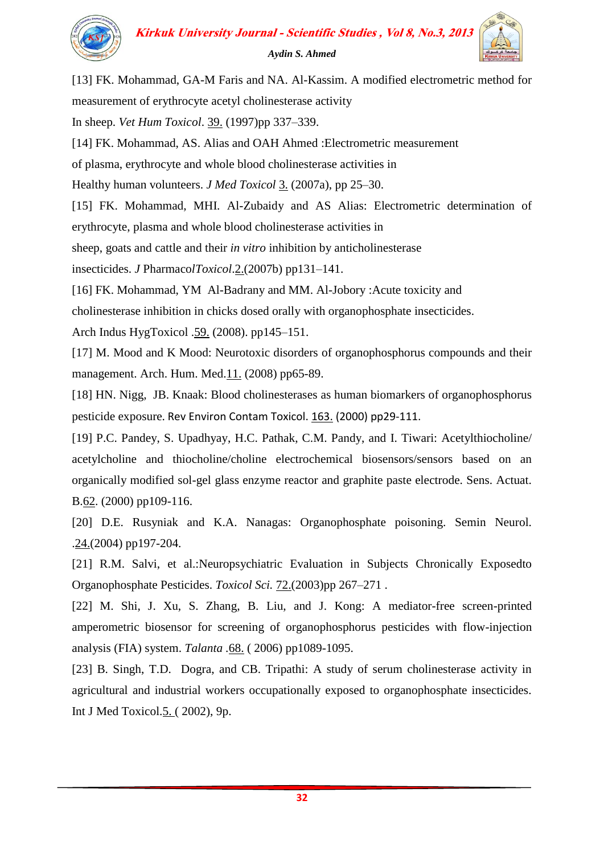

[13] FK. Mohammad, GA-M Faris and NA. Al-Kassim. A modified electrometric method for measurement of erythrocyte acetyl cholinesterase activity In sheep. *Vet Hum Toxicol*. 39. (1997)pp 337–339. [14] FK. Mohammad, AS. Alias and OAH Ahmed :Electrometric measurement of plasma, erythrocyte and whole blood cholinesterase activities in Healthy human volunteers. *J Med Toxicol* 3. (2007a), pp 25–30. [15] FK. Mohammad, MHI. Al-Zubaidy and AS Alias: Electrometric determination of erythrocyte, plasma and whole blood cholinesterase activities in sheep, goats and cattle and their *in vitro* inhibition by anticholinesterase insecticides. *J* Pharmaco*lToxicol*.2.(2007b) pp131–141. [16] FK. Mohammad, YM Al-Badrany and MM. Al-Jobory :Acute toxicity and cholinesterase inhibition in chicks dosed orally with organophosphate insecticides. Arch Indus HygToxicol .59. (2008). pp145–151. [17] M. Mood and K Mood: Neurotoxic disorders of organophosphorus compounds and their management. Arch. Hum. Med. 11. (2008) pp65-89. [18] HN. [Nigg,](http://www.ncbi.nlm.nih.gov/pubmed?term=%22Nigg%20HN%22%5BAuthor%5D) [JB.](http://www.ncbi.nlm.nih.gov/pubmed?term=%22Knaak%20JB%22%5BAuthor%5D) Knaak: Blood cholinesterases as human biomarkers of organophosphorus pesticide exposure. [Rev Environ Contam Toxicol.](http://www.ncbi.nlm.nih.gov/pubmed/10771584) 163. (2000) pp29-111. [19] P.C. Pandey, S. Upadhyay, H.C. Pathak, C.M. Pandy, and I. Tiwari: Acetylthiocholine/ acetylcholine and thiocholine/choline electrochemical biosensors/sensors based on an organically modified sol-gel glass enzyme reactor and graphite paste electrode. Sens. Actuat. B.62. (2000) pp109-116. [20] D.E. Rusyniak and K.A. Nanagas: Organophosphate poisoning. Semin Neurol. .24.(2004) pp197-204. [21] R.M. Salvi, et al.:Neuropsychiatric Evaluation in Subjects Chronically Exposedto Organophosphate Pesticides. *Toxicol Sci.* 72.(2003)pp 267–271 . [22] M. Shi, J. Xu, S. Zhang, B. Liu, and J. Kong: A mediator-free screen-printed amperometric biosensor for screening of organophosphorus pesticides with flow-injection analysis (FIA) system. *Talanta .*68. ( 2006) pp1089-1095.

[23] B. Singh, T.D. Dogra, and CB. Tripathi: A study of serum cholinesterase activity in agricultural and industrial workers occupationally exposed to organophosphate insecticides. Int J Med Toxicol.5. ( 2002), 9p.